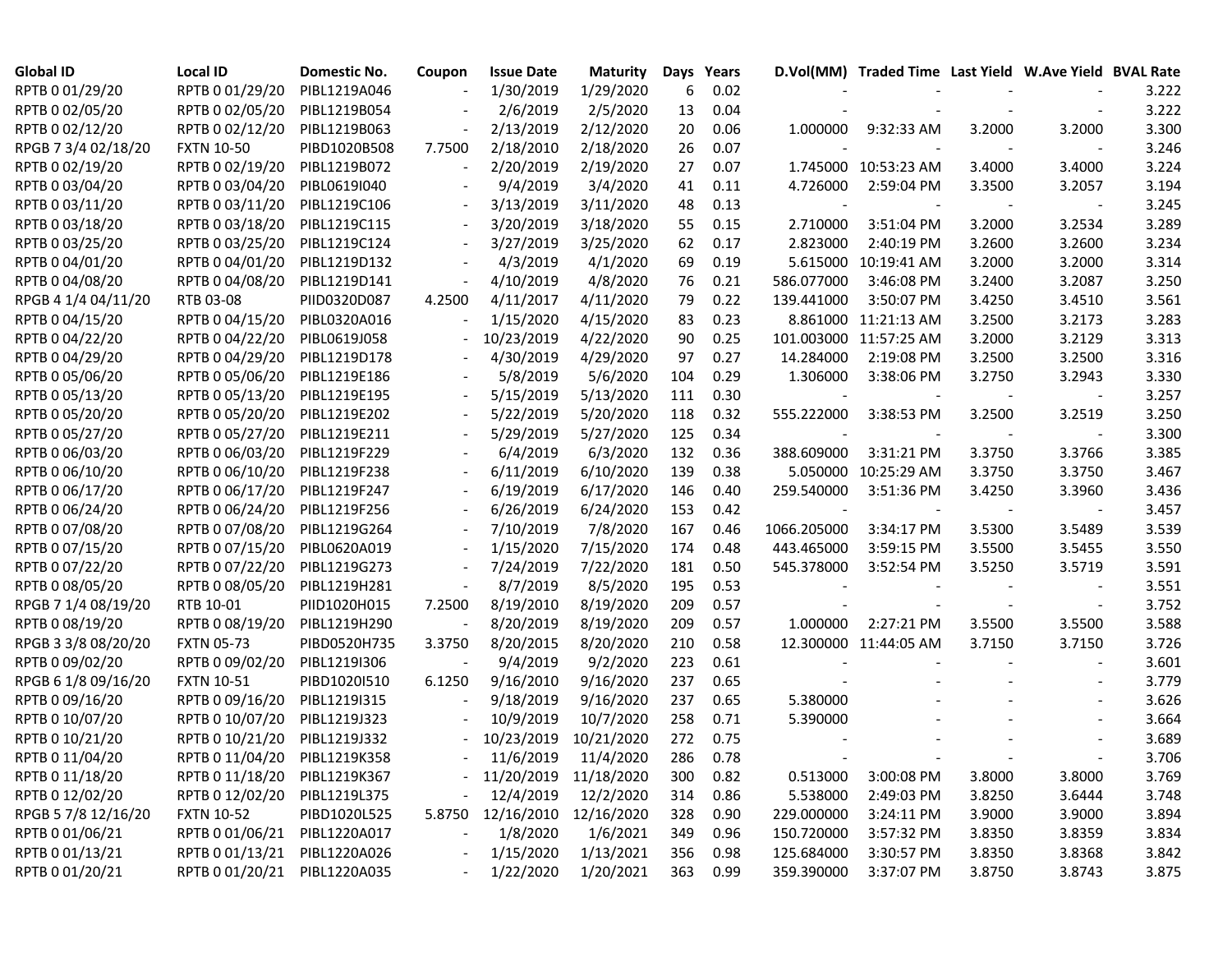| <b>Global ID</b>    | <b>Local ID</b>              | <b>Domestic No.</b> | Coupon | <b>Issue Date</b>        | <b>Maturity</b> | Days | Years    |             | D.Vol(MM) Traded Time Last Yield W.Ave Yield BVAL Rate |        |        |       |
|---------------------|------------------------------|---------------------|--------|--------------------------|-----------------|------|----------|-------------|--------------------------------------------------------|--------|--------|-------|
| RPTB 0 01/29/20     | RPTB 0 01/29/20              | PIBL1219A046        |        | 1/30/2019                | 1/29/2020       | 6    | 0.02     |             |                                                        |        |        | 3.222 |
| RPTB 0 02/05/20     | RPTB 0 02/05/20              | PIBL1219B054        |        | 2/6/2019                 | 2/5/2020        | 13   | 0.04     |             |                                                        |        |        | 3.222 |
| RPTB 0 02/12/20     | RPTB 0 02/12/20              | PIBL1219B063        |        | 2/13/2019                | 2/12/2020       | 20   | 0.06     | 1.000000    | 9:32:33 AM                                             | 3.2000 | 3.2000 | 3.300 |
| RPGB 7 3/4 02/18/20 | <b>FXTN 10-50</b>            | PIBD1020B508        | 7.7500 | 2/18/2010                | 2/18/2020       | 26   | 0.07     |             |                                                        |        |        | 3.246 |
| RPTB 0 02/19/20     | RPTB 0 02/19/20              | PIBL1219B072        |        | 2/20/2019                | 2/19/2020       | 27   | 0.07     |             | 1.745000 10:53:23 AM                                   | 3.4000 | 3.4000 | 3.224 |
| RPTB 0 03/04/20     | RPTB 0 03/04/20              | PIBL0619I040        |        | 9/4/2019                 | 3/4/2020        | 41   | 0.11     | 4.726000    | 2:59:04 PM                                             | 3.3500 | 3.2057 | 3.194 |
| RPTB 0 03/11/20     | RPTB 0 03/11/20              | PIBL1219C106        |        | 3/13/2019                | 3/11/2020       | 48   | 0.13     |             |                                                        |        |        | 3.245 |
| RPTB 0 03/18/20     | RPTB 0 03/18/20              | PIBL1219C115        |        | 3/20/2019                | 3/18/2020       | 55   | 0.15     | 2.710000    | 3:51:04 PM                                             | 3.2000 | 3.2534 | 3.289 |
| RPTB 0 03/25/20     | RPTB 0 03/25/20              | PIBL1219C124        |        | 3/27/2019                | 3/25/2020       | 62   | 0.17     | 2.823000    | 2:40:19 PM                                             | 3.2600 | 3.2600 | 3.234 |
| RPTB 0 04/01/20     | RPTB 0 04/01/20              | PIBL1219D132        |        | 4/3/2019                 | 4/1/2020        | 69   | 0.19     |             | 5.615000 10:19:41 AM                                   | 3.2000 | 3.2000 | 3.314 |
| RPTB 0 04/08/20     | RPTB 0 04/08/20              | PIBL1219D141        |        | 4/10/2019                | 4/8/2020        | 76   | 0.21     | 586.077000  | 3:46:08 PM                                             | 3.2400 | 3.2087 | 3.250 |
| RPGB 4 1/4 04/11/20 | RTB 03-08                    | PIID0320D087        | 4.2500 | 4/11/2017                | 4/11/2020       | 79   | 0.22     | 139.441000  | 3:50:07 PM                                             | 3.4250 | 3.4510 | 3.561 |
| RPTB 0 04/15/20     | RPTB 0 04/15/20              | PIBL0320A016        |        | 1/15/2020                | 4/15/2020       | 83   | 0.23     |             | 8.861000 11:21:13 AM                                   | 3.2500 | 3.2173 | 3.283 |
| RPTB 0 04/22/20     | RPTB 0 04/22/20              | PIBL0619J058        |        | 10/23/2019               | 4/22/2020       | 90   | 0.25     |             | 101.003000 11:57:25 AM                                 | 3.2000 | 3.2129 | 3.313 |
| RPTB 0 04/29/20     | RPTB 0 04/29/20              | PIBL1219D178        |        | 4/30/2019                | 4/29/2020       | 97   | 0.27     | 14.284000   | 2:19:08 PM                                             | 3.2500 | 3.2500 | 3.316 |
| RPTB 0 05/06/20     | RPTB 0 05/06/20              | PIBL1219E186        |        | 5/8/2019                 | 5/6/2020        | 104  | 0.29     | 1.306000    | 3:38:06 PM                                             | 3.2750 | 3.2943 | 3.330 |
| RPTB 0 05/13/20     | RPTB 0 05/13/20              | PIBL1219E195        |        | 5/15/2019                | 5/13/2020       | 111  | 0.30     |             |                                                        |        |        | 3.257 |
| RPTB 0 05/20/20     | RPTB 0 05/20/20              | PIBL1219E202        |        | 5/22/2019                | 5/20/2020       | 118  | 0.32     | 555.222000  | 3:38:53 PM                                             | 3.2500 | 3.2519 | 3.250 |
| RPTB 0 05/27/20     | RPTB 0 05/27/20              | PIBL1219E211        |        | 5/29/2019                | 5/27/2020       | 125  | 0.34     |             |                                                        |        |        | 3.300 |
| RPTB 0 06/03/20     | RPTB 0 06/03/20              | PIBL1219F229        |        | 6/4/2019                 | 6/3/2020        | 132  | 0.36     | 388.609000  | 3:31:21 PM                                             | 3.3750 | 3.3766 | 3.385 |
| RPTB 0 06/10/20     | RPTB 0 06/10/20              | PIBL1219F238        |        | 6/11/2019                | 6/10/2020       | 139  | 0.38     |             | 5.050000 10:25:29 AM                                   | 3.3750 | 3.3750 | 3.467 |
| RPTB 0 06/17/20     | RPTB 0 06/17/20              | PIBL1219F247        |        | 6/19/2019                | 6/17/2020       | 146  | 0.40     | 259.540000  | 3:51:36 PM                                             | 3.4250 | 3.3960 | 3.436 |
| RPTB 0 06/24/20     | RPTB 0 06/24/20              | PIBL1219F256        |        | 6/26/2019                | 6/24/2020       | 153  | 0.42     |             |                                                        |        |        | 3.457 |
| RPTB 0 07/08/20     | RPTB 0 07/08/20              | PIBL1219G264        |        | 7/10/2019                | 7/8/2020        | 167  | 0.46     | 1066.205000 | 3:34:17 PM                                             | 3.5300 | 3.5489 | 3.539 |
| RPTB 0 07/15/20     | RPTB 0 07/15/20              | PIBL0620A019        |        | 1/15/2020                | 7/15/2020       | 174  | 0.48     | 443.465000  | 3:59:15 PM                                             | 3.5500 | 3.5455 | 3.550 |
| RPTB 0 07/22/20     | RPTB 0 07/22/20              | PIBL1219G273        |        | 7/24/2019                | 7/22/2020       | 181  | 0.50     | 545.378000  | 3:52:54 PM                                             | 3.5250 | 3.5719 | 3.591 |
| RPTB 0 08/05/20     | RPTB 0 08/05/20              | PIBL1219H281        |        | 8/7/2019                 | 8/5/2020        | 195  | 0.53     |             |                                                        |        |        | 3.551 |
| RPGB 7 1/4 08/19/20 | RTB 10-01                    | PIID1020H015        | 7.2500 | 8/19/2010                | 8/19/2020       | 209  | 0.57     |             |                                                        |        |        | 3.752 |
| RPTB 0 08/19/20     | RPTB 0 08/19/20              | PIBL1219H290        |        | 8/20/2019                | 8/19/2020       | 209  | 0.57     | 1.000000    | 2:27:21 PM                                             | 3.5500 | 3.5500 | 3.588 |
| RPGB 3 3/8 08/20/20 | <b>FXTN 05-73</b>            | PIBD0520H735        | 3.3750 | 8/20/2015                | 8/20/2020       | 210  | 0.58     |             | 12.300000 11:44:05 AM                                  | 3.7150 | 3.7150 | 3.726 |
| RPTB 0 09/02/20     | RPTB 0 09/02/20              | PIBL1219I306        |        | 9/4/2019                 | 9/2/2020        | 223  | 0.61     |             |                                                        |        |        | 3.601 |
| RPGB 6 1/8 09/16/20 | <b>FXTN 10-51</b>            | PIBD10201510        | 6.1250 | 9/16/2010                | 9/16/2020       | 237  | 0.65     |             |                                                        |        |        | 3.779 |
| RPTB 0 09/16/20     | RPTB 0 09/16/20              | PIBL1219I315        |        | 9/18/2019                | 9/16/2020       | 237  | 0.65     | 5.380000    |                                                        |        |        | 3.626 |
| RPTB 0 10/07/20     | RPTB 0 10/07/20              | PIBL1219J323        |        | 10/9/2019                | 10/7/2020       | 258  | 0.71     | 5.390000    |                                                        |        |        | 3.664 |
| RPTB 0 10/21/20     | RPTB 0 10/21/20              | PIBL1219J332        | $\sim$ | 10/23/2019               | 10/21/2020      | 272  | 0.75     |             |                                                        |        |        | 3.689 |
| RPTB 0 11/04/20     | RPTB 0 11/04/20 PIBL1219K358 |                     |        | $-11/6/2019$ $11/4/2020$ |                 |      | 286 0.78 |             |                                                        |        |        | 3.706 |
| RPTB 0 11/18/20     | RPTB 0 11/18/20              | PIBL1219K367        |        | - 11/20/2019 11/18/2020  |                 | 300  | 0.82     | 0.513000    | 3:00:08 PM                                             | 3.8000 | 3.8000 | 3.769 |
| RPTB 0 12/02/20     | RPTB 0 12/02/20              | PIBL1219L375        |        | 12/4/2019                | 12/2/2020       | 314  | 0.86     | 5.538000    | 2:49:03 PM                                             | 3.8250 | 3.6444 | 3.748 |
| RPGB 5 7/8 12/16/20 | <b>FXTN 10-52</b>            | PIBD1020L525        | 5.8750 | 12/16/2010               | 12/16/2020      | 328  | 0.90     | 229.000000  | 3:24:11 PM                                             | 3.9000 | 3.9000 | 3.894 |
| RPTB 0 01/06/21     | RPTB 0 01/06/21              | PIBL1220A017        |        | 1/8/2020                 | 1/6/2021        | 349  | 0.96     | 150.720000  | 3:57:32 PM                                             | 3.8350 | 3.8359 | 3.834 |
| RPTB 0 01/13/21     | RPTB 0 01/13/21              | PIBL1220A026        |        | 1/15/2020                | 1/13/2021       | 356  | 0.98     | 125.684000  | 3:30:57 PM                                             | 3.8350 | 3.8368 | 3.842 |
| RPTB 0 01/20/21     | RPTB 0 01/20/21              | PIBL1220A035        |        | 1/22/2020                | 1/20/2021       | 363  | 0.99     | 359.390000  | 3:37:07 PM                                             | 3.8750 | 3.8743 | 3.875 |
|                     |                              |                     |        |                          |                 |      |          |             |                                                        |        |        |       |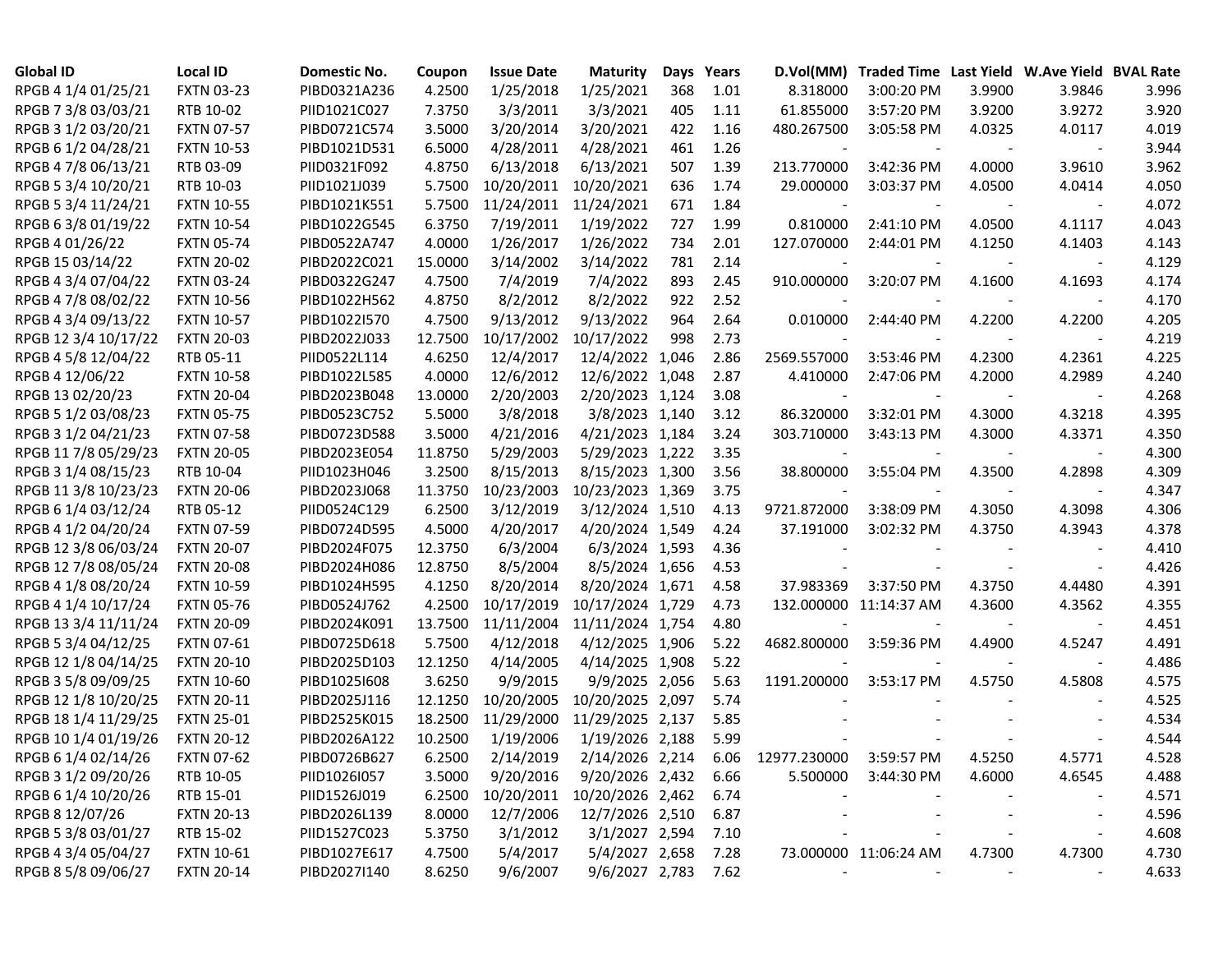| <b>Global ID</b>     | <b>Local ID</b>   | Domestic No. | Coupon  | <b>Issue Date</b> | <b>Maturity</b>  | Days | Years | D.Vol(MM)                | Traded Time Last Yield W.Ave Yield BVAL Rate |        |                          |       |
|----------------------|-------------------|--------------|---------|-------------------|------------------|------|-------|--------------------------|----------------------------------------------|--------|--------------------------|-------|
| RPGB 4 1/4 01/25/21  | <b>FXTN 03-23</b> | PIBD0321A236 | 4.2500  | 1/25/2018         | 1/25/2021        | 368  | 1.01  | 8.318000                 | 3:00:20 PM                                   | 3.9900 | 3.9846                   | 3.996 |
| RPGB 7 3/8 03/03/21  | RTB 10-02         | PIID1021C027 | 7.3750  | 3/3/2011          | 3/3/2021         | 405  | 1.11  | 61.855000                | 3:57:20 PM                                   | 3.9200 | 3.9272                   | 3.920 |
| RPGB 3 1/2 03/20/21  | <b>FXTN 07-57</b> | PIBD0721C574 | 3.5000  | 3/20/2014         | 3/20/2021        | 422  | 1.16  | 480.267500               | 3:05:58 PM                                   | 4.0325 | 4.0117                   | 4.019 |
| RPGB 6 1/2 04/28/21  | <b>FXTN 10-53</b> | PIBD1021D531 | 6.5000  | 4/28/2011         | 4/28/2021        | 461  | 1.26  |                          |                                              |        |                          | 3.944 |
| RPGB 4 7/8 06/13/21  | RTB 03-09         | PIID0321F092 | 4.8750  | 6/13/2018         | 6/13/2021        | 507  | 1.39  | 213.770000               | 3:42:36 PM                                   | 4.0000 | 3.9610                   | 3.962 |
| RPGB 5 3/4 10/20/21  | RTB 10-03         | PIID1021J039 | 5.7500  | 10/20/2011        | 10/20/2021       | 636  | 1.74  | 29.000000                | 3:03:37 PM                                   | 4.0500 | 4.0414                   | 4.050 |
| RPGB 5 3/4 11/24/21  | <b>FXTN 10-55</b> | PIBD1021K551 | 5.7500  | 11/24/2011        | 11/24/2021       | 671  | 1.84  |                          |                                              |        |                          | 4.072 |
| RPGB 63/801/19/22    | <b>FXTN 10-54</b> | PIBD1022G545 | 6.3750  | 7/19/2011         | 1/19/2022        | 727  | 1.99  | 0.810000                 | 2:41:10 PM                                   | 4.0500 | 4.1117                   | 4.043 |
| RPGB 4 01/26/22      | <b>FXTN 05-74</b> | PIBD0522A747 | 4.0000  | 1/26/2017         | 1/26/2022        | 734  | 2.01  | 127.070000               | 2:44:01 PM                                   | 4.1250 | 4.1403                   | 4.143 |
| RPGB 15 03/14/22     | <b>FXTN 20-02</b> | PIBD2022C021 | 15.0000 | 3/14/2002         | 3/14/2022        | 781  | 2.14  |                          |                                              |        |                          | 4.129 |
| RPGB 4 3/4 07/04/22  | <b>FXTN 03-24</b> | PIBD0322G247 | 4.7500  | 7/4/2019          | 7/4/2022         | 893  | 2.45  | 910.000000               | 3:20:07 PM                                   | 4.1600 | 4.1693                   | 4.174 |
| RPGB 4 7/8 08/02/22  | <b>FXTN 10-56</b> | PIBD1022H562 | 4.8750  | 8/2/2012          | 8/2/2022         | 922  | 2.52  |                          |                                              |        |                          | 4.170 |
| RPGB 4 3/4 09/13/22  | <b>FXTN 10-57</b> | PIBD1022I570 | 4.7500  | 9/13/2012         | 9/13/2022        | 964  | 2.64  | 0.010000                 | 2:44:40 PM                                   | 4.2200 | 4.2200                   | 4.205 |
| RPGB 12 3/4 10/17/22 | <b>FXTN 20-03</b> | PIBD2022J033 | 12.7500 | 10/17/2002        | 10/17/2022       | 998  | 2.73  |                          |                                              |        |                          | 4.219 |
| RPGB 4 5/8 12/04/22  | RTB 05-11         | PIID0522L114 | 4.6250  | 12/4/2017         | 12/4/2022 1,046  |      | 2.86  | 2569.557000              | 3:53:46 PM                                   | 4.2300 | 4.2361                   | 4.225 |
| RPGB 4 12/06/22      | <b>FXTN 10-58</b> | PIBD1022L585 | 4.0000  | 12/6/2012         | 12/6/2022 1,048  |      | 2.87  | 4.410000                 | 2:47:06 PM                                   | 4.2000 | 4.2989                   | 4.240 |
| RPGB 13 02/20/23     | <b>FXTN 20-04</b> | PIBD2023B048 | 13.0000 | 2/20/2003         | 2/20/2023 1,124  |      | 3.08  | $\overline{\phantom{a}}$ |                                              |        |                          | 4.268 |
| RPGB 5 1/2 03/08/23  | <b>FXTN 05-75</b> | PIBD0523C752 | 5.5000  | 3/8/2018          | 3/8/2023 1,140   |      | 3.12  | 86.320000                | 3:32:01 PM                                   | 4.3000 | 4.3218                   | 4.395 |
| RPGB 3 1/2 04/21/23  | <b>FXTN 07-58</b> | PIBD0723D588 | 3.5000  | 4/21/2016         | 4/21/2023 1,184  |      | 3.24  | 303.710000               | 3:43:13 PM                                   | 4.3000 | 4.3371                   | 4.350 |
| RPGB 11 7/8 05/29/23 | <b>FXTN 20-05</b> | PIBD2023E054 | 11.8750 | 5/29/2003         | 5/29/2023 1,222  |      | 3.35  |                          |                                              |        |                          | 4.300 |
| RPGB 3 1/4 08/15/23  | RTB 10-04         | PIID1023H046 | 3.2500  | 8/15/2013         | 8/15/2023 1,300  |      | 3.56  | 38.800000                | 3:55:04 PM                                   | 4.3500 | 4.2898                   | 4.309 |
| RPGB 11 3/8 10/23/23 | <b>FXTN 20-06</b> | PIBD2023J068 | 11.3750 | 10/23/2003        | 10/23/2023 1,369 |      | 3.75  |                          |                                              |        |                          | 4.347 |
| RPGB 6 1/4 03/12/24  | RTB 05-12         | PIID0524C129 | 6.2500  | 3/12/2019         | 3/12/2024 1,510  |      | 4.13  | 9721.872000              | 3:38:09 PM                                   | 4.3050 | 4.3098                   | 4.306 |
| RPGB 4 1/2 04/20/24  | <b>FXTN 07-59</b> | PIBD0724D595 | 4.5000  | 4/20/2017         | 4/20/2024 1,549  |      | 4.24  | 37.191000                | 3:02:32 PM                                   | 4.3750 | 4.3943                   | 4.378 |
| RPGB 12 3/8 06/03/24 | <b>FXTN 20-07</b> | PIBD2024F075 | 12.3750 | 6/3/2004          | 6/3/2024 1,593   |      | 4.36  |                          |                                              |        |                          | 4.410 |
| RPGB 12 7/8 08/05/24 | <b>FXTN 20-08</b> | PIBD2024H086 | 12.8750 | 8/5/2004          | 8/5/2024 1,656   |      | 4.53  |                          |                                              |        |                          | 4.426 |
| RPGB 4 1/8 08/20/24  | <b>FXTN 10-59</b> | PIBD1024H595 | 4.1250  | 8/20/2014         | 8/20/2024 1,671  |      | 4.58  | 37.983369                | 3:37:50 PM                                   | 4.3750 | 4.4480                   | 4.391 |
| RPGB 4 1/4 10/17/24  | <b>FXTN 05-76</b> | PIBD0524J762 | 4.2500  | 10/17/2019        | 10/17/2024 1,729 |      | 4.73  |                          | 132.000000 11:14:37 AM                       | 4.3600 | 4.3562                   | 4.355 |
| RPGB 13 3/4 11/11/24 | <b>FXTN 20-09</b> | PIBD2024K091 | 13.7500 | 11/11/2004        | 11/11/2024 1,754 |      | 4.80  |                          |                                              |        |                          | 4.451 |
| RPGB 5 3/4 04/12/25  | <b>FXTN 07-61</b> | PIBD0725D618 | 5.7500  | 4/12/2018         | 4/12/2025 1,906  |      | 5.22  | 4682.800000              | 3:59:36 PM                                   | 4.4900 | 4.5247                   | 4.491 |
| RPGB 12 1/8 04/14/25 | <b>FXTN 20-10</b> | PIBD2025D103 | 12.1250 | 4/14/2005         | 4/14/2025 1,908  |      | 5.22  |                          |                                              |        | $\overline{\phantom{a}}$ | 4.486 |
| RPGB 3 5/8 09/09/25  | <b>FXTN 10-60</b> | PIBD1025I608 | 3.6250  | 9/9/2015          | 9/9/2025 2,056   |      | 5.63  | 1191.200000              | 3:53:17 PM                                   | 4.5750 | 4.5808                   | 4.575 |
| RPGB 12 1/8 10/20/25 | <b>FXTN 20-11</b> | PIBD2025J116 | 12.1250 | 10/20/2005        | 10/20/2025 2,097 |      | 5.74  |                          |                                              |        |                          | 4.525 |
| RPGB 18 1/4 11/29/25 | <b>FXTN 25-01</b> | PIBD2525K015 | 18.2500 | 11/29/2000        | 11/29/2025 2,137 |      | 5.85  |                          |                                              |        |                          | 4.534 |
| RPGB 10 1/4 01/19/26 | <b>FXTN 20-12</b> | PIBD2026A122 | 10.2500 | 1/19/2006         | 1/19/2026 2,188  |      | 5.99  |                          |                                              |        |                          | 4.544 |
| RPGB 6 1/4 02/14/26  | <b>FXTN 07-62</b> | PIBD0726B627 | 6.2500  | 2/14/2019         | 2/14/2026 2,214  |      |       | 6.06 12977.230000        | 3:59:57 PM                                   | 4.5250 | 4.5771                   | 4.528 |
| RPGB 3 1/2 09/20/26  | RTB 10-05         | PIID1026I057 | 3.5000  | 9/20/2016         | 9/20/2026 2,432  |      | 6.66  | 5.500000                 | 3:44:30 PM                                   | 4.6000 | 4.6545                   | 4.488 |
| RPGB 6 1/4 10/20/26  | RTB 15-01         | PIID1526J019 | 6.2500  | 10/20/2011        | 10/20/2026 2,462 |      | 6.74  |                          |                                              |        |                          | 4.571 |
| RPGB 8 12/07/26      | <b>FXTN 20-13</b> | PIBD2026L139 | 8.0000  | 12/7/2006         | 12/7/2026 2,510  |      | 6.87  |                          |                                              |        | $\overline{\phantom{a}}$ | 4.596 |
| RPGB 5 3/8 03/01/27  | RTB 15-02         | PIID1527C023 | 5.3750  | 3/1/2012          | 3/1/2027 2,594   |      | 7.10  |                          |                                              |        |                          | 4.608 |
| RPGB 4 3/4 05/04/27  | <b>FXTN 10-61</b> | PIBD1027E617 | 4.7500  | 5/4/2017          | 5/4/2027 2,658   |      | 7.28  |                          | 73.000000 11:06:24 AM                        | 4.7300 | 4.7300                   | 4.730 |
| RPGB 8 5/8 09/06/27  | <b>FXTN 20-14</b> | PIBD2027I140 | 8.6250  | 9/6/2007          | 9/6/2027 2,783   |      | 7.62  |                          |                                              |        |                          | 4.633 |